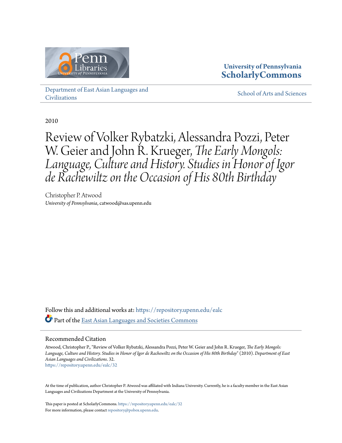

# **University of Pennsylvania [ScholarlyCommons](https://repository.upenn.edu?utm_source=repository.upenn.edu%2Fealc%2F32&utm_medium=PDF&utm_campaign=PDFCoverPages)**

[Department of East Asian Languages and](https://repository.upenn.edu/ealc?utm_source=repository.upenn.edu%2Fealc%2F32&utm_medium=PDF&utm_campaign=PDFCoverPages) **[Civilizations](https://repository.upenn.edu/ealc?utm_source=repository.upenn.edu%2Fealc%2F32&utm_medium=PDF&utm_campaign=PDFCoverPages)** 

[School of Arts and Sciences](https://repository.upenn.edu/sas?utm_source=repository.upenn.edu%2Fealc%2F32&utm_medium=PDF&utm_campaign=PDFCoverPages)

2010

Review of Volker Rybatzki, Alessandra Pozzi, Peter W. Geier and John R. Krueger, *The Early Mongols: Language, Culture and History. Studies in Honor of Igor de Rachewiltz on the Occasion of His 80th Birthday*

Christopher P. Atwood *University of Pennsylvania*, catwood@sas.upenn.edu

Follow this and additional works at: [https://repository.upenn.edu/ealc](https://repository.upenn.edu/ealc?utm_source=repository.upenn.edu%2Fealc%2F32&utm_medium=PDF&utm_campaign=PDFCoverPages) Part of the [East Asian Languages and Societies Commons](http://network.bepress.com/hgg/discipline/481?utm_source=repository.upenn.edu%2Fealc%2F32&utm_medium=PDF&utm_campaign=PDFCoverPages)

## Recommended Citation

Atwood, Christopher P., "Review of Volker Rybatzki, Alessandra Pozzi, Peter W. Geier and John R. Krueger, *The Early Mongols: Language, Culture and History. Studies in Honor of Igor de Rachewiltz on the Occasion of His 80th Birthday*" (2010). *Department of East Asian Languages and Civilizations*. 32. [https://repository.upenn.edu/ealc/32](https://repository.upenn.edu/ealc/32?utm_source=repository.upenn.edu%2Fealc%2F32&utm_medium=PDF&utm_campaign=PDFCoverPages)

At the time of publication, author Christopher P. Atwood was affiliated with Indiana University. Currently, he is a faculty member in the East Asian Languages and Civilizations Department at the University of Pennsylvania.

This paper is posted at ScholarlyCommons. <https://repository.upenn.edu/ealc/32> For more information, please contact [repository@pobox.upenn.edu.](mailto:repository@pobox.upenn.edu)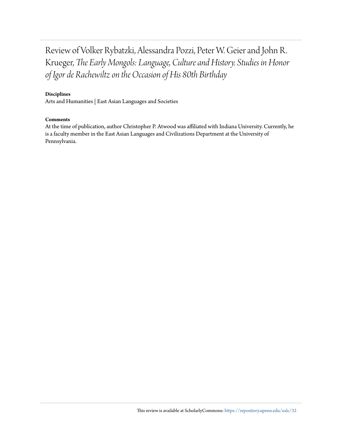Review of Volker Rybatzki, Alessandra Pozzi, Peter W. Geier and John R. Krueger, *The Early Mongols: Language, Culture and History. Studies in Honor of Igor de Rachewiltz on the Occasion of His 80th Birthday*

### **Disciplines**

Arts and Humanities | East Asian Languages and Societies

#### **Comments**

At the time of publication, author Christopher P. Atwood was affiliated with Indiana University. Currently, he is a faculty member in the East Asian Languages and Civilizations Department at the University of Pennsylvania.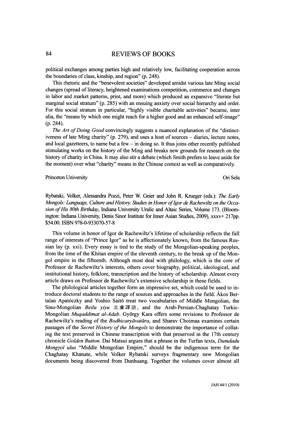#### 84 REVIEWS OF BOOKS

 political exchanges among parties high and relatively low, facilitating cooperation across the boundaries of class, kinship, and region" (p. 248).

 This rhetoric and the "benevolent societies" developed amidst various late Ming social changes (spread of literacy, heightened examinations competition, commerce and changes in labor and market patterns, print, and more) which produced an expansive "literate but marginal social stratum" (p. 285) with an ensuing anxiety over social hierarchy and order. For this social stratum in particular, "highly visible charitable activities" became, inter alia, the "means by which one might reach for a higher good and an enhanced self-image" (p. 284).

The Art of Doing Good convincingly suggests a nuanced explanation of the "distinct iveness of late Ming charity" (p. 279), and uses a host of sources - diaries, lecture notes, and local gazetteers, to name but a few  $-$  in doing so. It thus joins other recently published stimulating works on the history of the Ming and breaks new grounds for research on the history of charity in China. It may also stir a debate (which Smith prefers to leave aside for the moment) over what "charity" means in the Chinese context as well as comparatively.

#### Princeton University Ori Sela

 Rybatski, Volker, Alessandra Pozzi, Peter W. Geier and John R. Krueger (eds.): The Early Mongols: Language, Culture and History. Studies in Honor of Igor de Rachewiltz on the Occa sion of His 80th Birthday, Indiana University Uralic and Altaic Series, Volume 173. (Bloom ington: Indiana University, Denis Sinor Institute for Inner Asian Studies, 2009), xxxv+ 217pp. \$54.00. ISBN 978-0-933070-57-8

 This volume in honor of Igor de Rachewiltz's lifetime of scholarship reflects the full range of interests of "Prince Igor" as he is affectionately known, from the famous Rus sian lay (p. xxi). Every essay is tied to the study of the Mongolian-speaking peoples, from the time of the Khitan empire of the eleventh century, to the break up of the Mon gol empire in the fifteenth. Although most deal with philology, which is the core of Professor de Rachewiltz's interests, others cover biography, political, ideological, and institutional history, folklore, transcription and the history of scholarship. Almost every article draws on Professor de Rachewiltz's extensive scholarship in these fields.

 The philological articles together form an impressive set, which could be used to in troduce doctoral students to the range of sources and approaches in the field. Ákos Ber talan Apatóczky and Yoshio Saitô treat two vocabularies of Middle Mongolian, the Sino-Mongolian *Beilu yiyu* 北虜譯語, and the Arab-Persian-Chaghatay Turkic- Mongolian Muqaddimat al-Adab. György Kara offers some revisions to Professor de Rachewiltz's reading of the *Bodhicaryāvatāra*, and Sharav Choimaa examines certain passages of the Secret History of the Mongols to demonstrate the importance of collat ing the text preserved in Chinese transcription with that preserved in the 1 7th century chronicle Golden Button. Dai Matsui argues that a phrase in the Turfan texts, Dumdadu Mongyol ulus "Middle Mongolian Empire," should be the indigenous term for the Chaghatay Khanate, while Volker Rybatski surveys fragmentary new Mongolian documents being discovered from Dunhuang. Together the volumes cover almost all